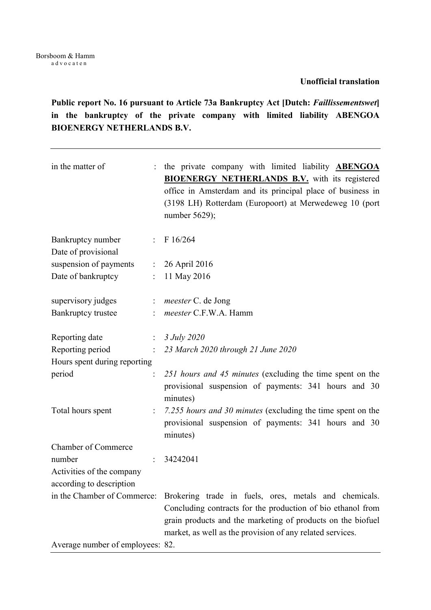Public report No. 16 pursuant to Article 73a Bankruptcy Act [Dutch: Faillissementswet] in the bankruptcy of the private company with limited liability ABENGOA BIOENERGY NETHERLANDS B.V.

| in the matter of<br>$\ddot{\cdot}$                    | the private company with limited liability <b>ABENGOA</b><br><b>BIOENERGY NETHERLANDS B.V.</b> with its registered<br>office in Amsterdam and its principal place of business in<br>(3198 LH) Rotterdam (Europoort) at Merwedeweg 10 (port<br>number $5629$ ); |
|-------------------------------------------------------|----------------------------------------------------------------------------------------------------------------------------------------------------------------------------------------------------------------------------------------------------------------|
| Bankruptcy number<br>Date of provisional              | : $F16/264$                                                                                                                                                                                                                                                    |
| suspension of payments<br>$\mathbb{Z}^{\times}$       | 26 April 2016                                                                                                                                                                                                                                                  |
| Date of bankruptcy<br>$\mathbf{L}$                    | 11 May 2016                                                                                                                                                                                                                                                    |
| supervisory judges<br>$\ddot{\cdot}$                  | <i>meester</i> C. de Jong                                                                                                                                                                                                                                      |
| Bankruptcy trustee                                    | meester C.F.W.A. Hamm                                                                                                                                                                                                                                          |
| Reporting date                                        | $: 3 \, July \, 2020$                                                                                                                                                                                                                                          |
| Reporting period                                      | : 23 March 2020 through 21 June 2020                                                                                                                                                                                                                           |
| Hours spent during reporting                          |                                                                                                                                                                                                                                                                |
| period                                                | 251 hours and 45 minutes (excluding the time spent on the<br>provisional suspension of payments: 341 hours and 30<br>minutes)                                                                                                                                  |
| Total hours spent<br>$\ddot{\cdot}$                   | 7.255 hours and 30 minutes (excluding the time spent on the<br>provisional suspension of payments: 341 hours and 30<br>minutes)                                                                                                                                |
| <b>Chamber of Commerce</b>                            |                                                                                                                                                                                                                                                                |
| number                                                | 34242041                                                                                                                                                                                                                                                       |
| Activities of the company<br>according to description |                                                                                                                                                                                                                                                                |
| in the Chamber of Commerce:                           | Brokering trade in fuels, ores, metals and chemicals.<br>Concluding contracts for the production of bio ethanol from<br>grain products and the marketing of products on the biofuel<br>market, as well as the provision of any related services.               |
| Average number of employees: 82.                      |                                                                                                                                                                                                                                                                |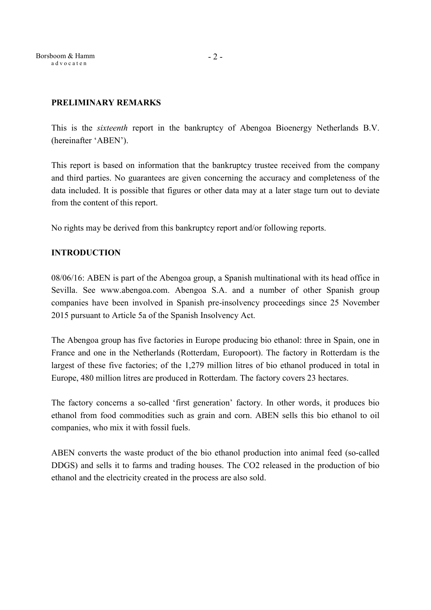Borsboom & Hamm a d v o c a t e n

## PRELIMINARY REMARKS

This is the sixteenth report in the bankruptcy of Abengoa Bioenergy Netherlands B.V. (hereinafter 'ABEN').

This report is based on information that the bankruptcy trustee received from the company and third parties. No guarantees are given concerning the accuracy and completeness of the data included. It is possible that figures or other data may at a later stage turn out to deviate from the content of this report.

No rights may be derived from this bankruptcy report and/or following reports.

## INTRODUCTION

08/06/16: ABEN is part of the Abengoa group, a Spanish multinational with its head office in Sevilla. See www.abengoa.com. Abengoa S.A. and a number of other Spanish group companies have been involved in Spanish pre-insolvency proceedings since 25 November 2015 pursuant to Article 5a of the Spanish Insolvency Act.

The Abengoa group has five factories in Europe producing bio ethanol: three in Spain, one in France and one in the Netherlands (Rotterdam, Europoort). The factory in Rotterdam is the largest of these five factories; of the 1,279 million litres of bio ethanol produced in total in Europe, 480 million litres are produced in Rotterdam. The factory covers 23 hectares.

The factory concerns a so-called 'first generation' factory. In other words, it produces bio ethanol from food commodities such as grain and corn. ABEN sells this bio ethanol to oil companies, who mix it with fossil fuels.

ABEN converts the waste product of the bio ethanol production into animal feed (so-called DDGS) and sells it to farms and trading houses. The CO2 released in the production of bio ethanol and the electricity created in the process are also sold.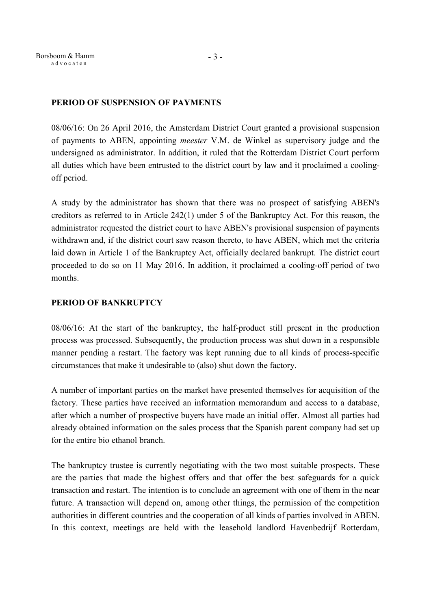## PERIOD OF SUSPENSION OF PAYMENTS

08/06/16: On 26 April 2016, the Amsterdam District Court granted a provisional suspension of payments to ABEN, appointing meester V.M. de Winkel as supervisory judge and the undersigned as administrator. In addition, it ruled that the Rotterdam District Court perform all duties which have been entrusted to the district court by law and it proclaimed a coolingoff period.

A study by the administrator has shown that there was no prospect of satisfying ABEN's creditors as referred to in Article 242(1) under 5 of the Bankruptcy Act. For this reason, the administrator requested the district court to have ABEN's provisional suspension of payments withdrawn and, if the district court saw reason thereto, to have ABEN, which met the criteria laid down in Article 1 of the Bankruptcy Act, officially declared bankrupt. The district court proceeded to do so on 11 May 2016. In addition, it proclaimed a cooling-off period of two months.

## PERIOD OF BANKRUPTCY

08/06/16: At the start of the bankruptcy, the half-product still present in the production process was processed. Subsequently, the production process was shut down in a responsible manner pending a restart. The factory was kept running due to all kinds of process-specific circumstances that make it undesirable to (also) shut down the factory.

A number of important parties on the market have presented themselves for acquisition of the factory. These parties have received an information memorandum and access to a database, after which a number of prospective buyers have made an initial offer. Almost all parties had already obtained information on the sales process that the Spanish parent company had set up for the entire bio ethanol branch.

The bankruptcy trustee is currently negotiating with the two most suitable prospects. These are the parties that made the highest offers and that offer the best safeguards for a quick transaction and restart. The intention is to conclude an agreement with one of them in the near future. A transaction will depend on, among other things, the permission of the competition authorities in different countries and the cooperation of all kinds of parties involved in ABEN. In this context, meetings are held with the leasehold landlord Havenbedrijf Rotterdam,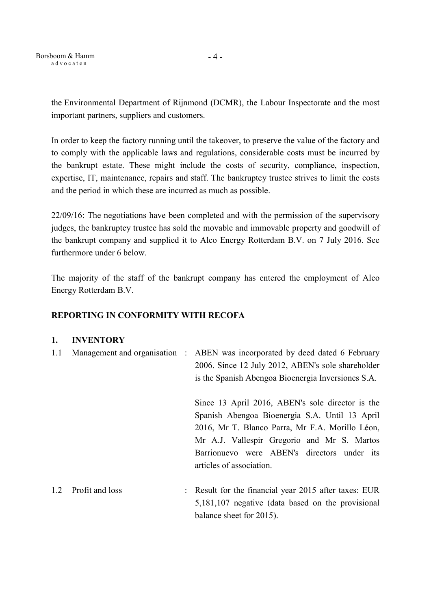Borsboom & Hamm a d v o c a t e n

- 4 -

the Environmental Department of Rijnmond (DCMR), the Labour Inspectorate and the most important partners, suppliers and customers.

In order to keep the factory running until the takeover, to preserve the value of the factory and to comply with the applicable laws and regulations, considerable costs must be incurred by the bankrupt estate. These might include the costs of security, compliance, inspection, expertise, IT, maintenance, repairs and staff. The bankruptcy trustee strives to limit the costs and the period in which these are incurred as much as possible.

22/09/16: The negotiations have been completed and with the permission of the supervisory judges, the bankruptcy trustee has sold the movable and immovable property and goodwill of the bankrupt company and supplied it to Alco Energy Rotterdam B.V. on 7 July 2016. See furthermore under 6 below.

The majority of the staff of the bankrupt company has entered the employment of Alco Energy Rotterdam B.V.

# REPORTING IN CONFORMITY WITH RECOFA

## 1. INVENTORY

| 1.1 | Management and organisation : |                      | ABEN was incorporated by deed dated 6 February<br>2006. Since 12 July 2012, ABEN's sole shareholder<br>is the Spanish Abengoa Bioenergia Inversiones S.A.                                                                                                                       |
|-----|-------------------------------|----------------------|---------------------------------------------------------------------------------------------------------------------------------------------------------------------------------------------------------------------------------------------------------------------------------|
|     |                               |                      | Since 13 April 2016, ABEN's sole director is the<br>Spanish Abengoa Bioenergia S.A. Until 13 April<br>2016, Mr T. Blanco Parra, Mr F.A. Morillo Léon,<br>Mr A.J. Vallespir Gregorio and Mr S. Martos<br>Barrionuevo were ABEN's directors under its<br>articles of association. |
| 1.2 | Profit and loss               | $\ddot{\phantom{0}}$ | Result for the financial year 2015 after taxes: EUR<br>5,181,107 negative (data based on the provisional<br>balance sheet for 2015).                                                                                                                                            |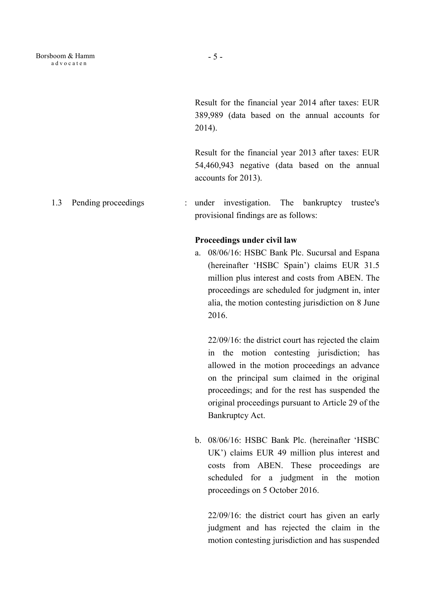Result for the financial year 2014 after taxes: EUR 389,989 (data based on the annual accounts for 2014).

Result for the financial year 2013 after taxes: EUR 54,460,943 negative (data based on the annual accounts for 2013).

1.3 Pending proceedings : under investigation. The bankruptcy trustee's provisional findings are as follows:

#### Proceedings under civil law

a. 08/06/16: HSBC Bank Plc. Sucursal and Espana (hereinafter 'HSBC Spain') claims EUR 31.5 million plus interest and costs from ABEN. The proceedings are scheduled for judgment in, inter alia, the motion contesting jurisdiction on 8 June 2016.

22/09/16: the district court has rejected the claim in the motion contesting jurisdiction; has allowed in the motion proceedings an advance on the principal sum claimed in the original proceedings; and for the rest has suspended the original proceedings pursuant to Article 29 of the Bankruptcy Act.

b. 08/06/16: HSBC Bank Plc. (hereinafter 'HSBC UK') claims EUR 49 million plus interest and costs from ABEN. These proceedings are scheduled for a judgment in the motion proceedings on 5 October 2016.

22/09/16: the district court has given an early judgment and has rejected the claim in the motion contesting jurisdiction and has suspended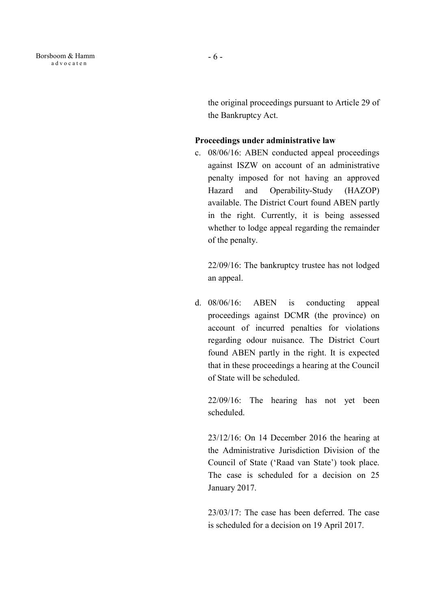the original proceedings pursuant to Article 29 of the Bankruptcy Act.

## Proceedings under administrative law

c. 08/06/16: ABEN conducted appeal proceedings against ISZW on account of an administrative penalty imposed for not having an approved Hazard and Operability-Study (HAZOP) available. The District Court found ABEN partly in the right. Currently, it is being assessed whether to lodge appeal regarding the remainder of the penalty.

22/09/16: The bankruptcy trustee has not lodged an appeal.

d. 08/06/16: ABEN is conducting appeal proceedings against DCMR (the province) on account of incurred penalties for violations regarding odour nuisance. The District Court found ABEN partly in the right. It is expected that in these proceedings a hearing at the Council of State will be scheduled.

22/09/16: The hearing has not yet been scheduled.

23/12/16: On 14 December 2016 the hearing at the Administrative Jurisdiction Division of the Council of State ('Raad van State') took place. The case is scheduled for a decision on 25 January 2017.

23/03/17: The case has been deferred. The case is scheduled for a decision on 19 April 2017.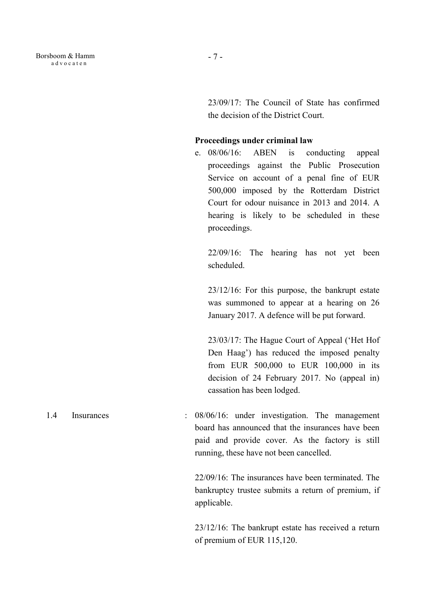23/09/17: The Council of State has confirmed the decision of the District Court.

#### Proceedings under criminal law

e. 08/06/16: ABEN is conducting appeal proceedings against the Public Prosecution Service on account of a penal fine of EUR 500,000 imposed by the Rotterdam District Court for odour nuisance in 2013 and 2014. A hearing is likely to be scheduled in these proceedings.

22/09/16: The hearing has not yet been scheduled.

23/12/16: For this purpose, the bankrupt estate was summoned to appear at a hearing on 26 January 2017. A defence will be put forward.

23/03/17: The Hague Court of Appeal ('Het Hof Den Haag') has reduced the imposed penalty from EUR 500,000 to EUR 100,000 in its decision of 24 February 2017. No (appeal in) cassation has been lodged.

1.4 Insurances : 08/06/16: under investigation. The management board has announced that the insurances have been paid and provide cover. As the factory is still running, these have not been cancelled.

> 22/09/16: The insurances have been terminated. The bankruptcy trustee submits a return of premium, if applicable.

> 23/12/16: The bankrupt estate has received a return of premium of EUR 115,120.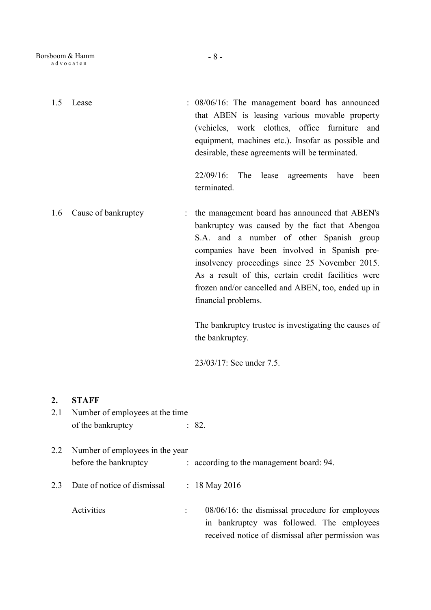| 1.5       | Lease                                                    | : 08/06/16: The management board has announced<br>that ABEN is leasing various movable property<br>(vehicles, work clothes, office furniture<br>and<br>equipment, machines etc.). Insofar as possible and<br>desirable, these agreements will be terminated.                                                                                                                                                                                                                               |
|-----------|----------------------------------------------------------|--------------------------------------------------------------------------------------------------------------------------------------------------------------------------------------------------------------------------------------------------------------------------------------------------------------------------------------------------------------------------------------------------------------------------------------------------------------------------------------------|
|           |                                                          | $22/09/16$ :<br>The lease<br>agreements<br>have<br>been<br>terminated.                                                                                                                                                                                                                                                                                                                                                                                                                     |
| 1.6       | Cause of bankruptcy<br>$\ddot{\phantom{a}}$              | the management board has announced that ABEN's<br>bankruptcy was caused by the fact that Abengoa<br>S.A. and a number of other Spanish group<br>companies have been involved in Spanish pre-<br>insolvency proceedings since 25 November 2015.<br>As a result of this, certain credit facilities were<br>frozen and/or cancelled and ABEN, too, ended up in<br>financial problems.<br>The bankruptcy trustee is investigating the causes of<br>the bankruptcy.<br>23/03/17: See under 7.5. |
| 2.<br>2.1 | <b>STAFF</b><br>Number of employees at the time          |                                                                                                                                                                                                                                                                                                                                                                                                                                                                                            |
|           | of the bankruptcy                                        | : 82.                                                                                                                                                                                                                                                                                                                                                                                                                                                                                      |
| 2.2       | Number of employees in the year<br>before the bankruptcy | : according to the management board: 94.                                                                                                                                                                                                                                                                                                                                                                                                                                                   |
| 2.3       | Date of notice of dismissal                              | : $18$ May 2016                                                                                                                                                                                                                                                                                                                                                                                                                                                                            |
|           | Activities                                               | $08/06/16$ : the dismissal procedure for employees                                                                                                                                                                                                                                                                                                                                                                                                                                         |

in bankruptcy was followed. The employees received notice of dismissal after permission was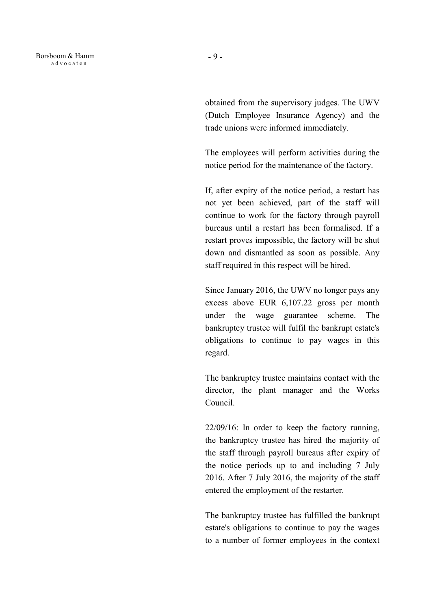obtained from the supervisory judges. The UWV (Dutch Employee Insurance Agency) and the trade unions were informed immediately.

 The employees will perform activities during the notice period for the maintenance of the factory.

 If, after expiry of the notice period, a restart has not yet been achieved, part of the staff will continue to work for the factory through payroll bureaus until a restart has been formalised. If a restart proves impossible, the factory will be shut down and dismantled as soon as possible. Any staff required in this respect will be hired.

 Since January 2016, the UWV no longer pays any excess above EUR 6,107.22 gross per month under the wage guarantee scheme. The bankruptcy trustee will fulfil the bankrupt estate's obligations to continue to pay wages in this regard.

The bankruptcy trustee maintains contact with the director, the plant manager and the Works Council.

22/09/16: In order to keep the factory running, the bankruptcy trustee has hired the majority of the staff through payroll bureaus after expiry of the notice periods up to and including 7 July 2016. After 7 July 2016, the majority of the staff entered the employment of the restarter.

The bankruptcy trustee has fulfilled the bankrupt estate's obligations to continue to pay the wages to a number of former employees in the context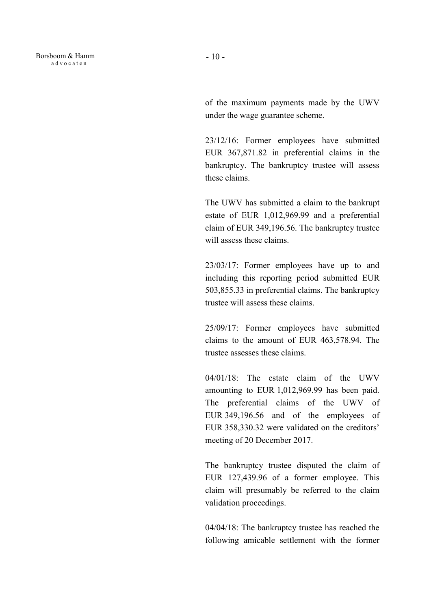of the maximum payments made by the UWV under the wage guarantee scheme.

23/12/16: Former employees have submitted EUR 367,871.82 in preferential claims in the bankruptcy. The bankruptcy trustee will assess these claims.

The UWV has submitted a claim to the bankrupt estate of EUR 1,012,969.99 and a preferential claim of EUR 349,196.56. The bankruptcy trustee will assess these claims.

23/03/17: Former employees have up to and including this reporting period submitted EUR 503,855.33 in preferential claims. The bankruptcy trustee will assess these claims.

25/09/17: Former employees have submitted claims to the amount of EUR 463,578.94. The trustee assesses these claims.

04/01/18: The estate claim of the UWV amounting to EUR 1,012,969.99 has been paid. The preferential claims of the UWV of EUR 349,196.56 and of the employees of EUR 358,330.32 were validated on the creditors' meeting of 20 December 2017.

The bankruptcy trustee disputed the claim of EUR 127,439.96 of a former employee. This claim will presumably be referred to the claim validation proceedings.

04/04/18: The bankruptcy trustee has reached the following amicable settlement with the former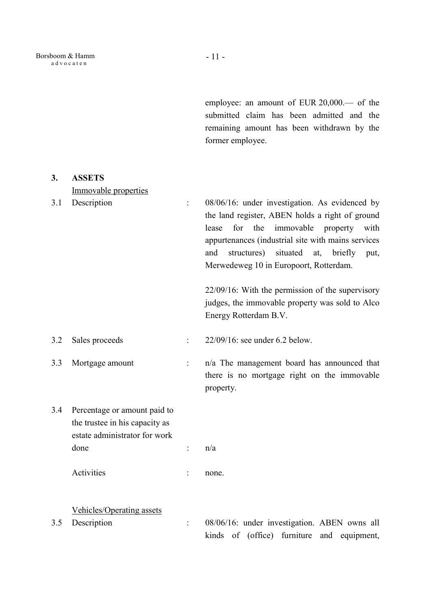employee: an amount of EUR 20,000.— of the submitted claim has been admitted and the remaining amount has been withdrawn by the former employee.

| 3.  | <b>ASSETS</b>                                                                                   |                      |                                                                                                                                                                                                                                                                                                                 |
|-----|-------------------------------------------------------------------------------------------------|----------------------|-----------------------------------------------------------------------------------------------------------------------------------------------------------------------------------------------------------------------------------------------------------------------------------------------------------------|
|     | Immovable properties                                                                            |                      |                                                                                                                                                                                                                                                                                                                 |
| 3.1 | Description                                                                                     | $\ddot{\cdot}$       | 08/06/16: under investigation. As evidenced by<br>the land register, ABEN holds a right of ground<br>for the<br>immovable<br>lease<br>property<br>with<br>appurtenances (industrial site with mains services<br>situated<br>structures)<br>and<br>at, briefly<br>put,<br>Merwedeweg 10 in Europoort, Rotterdam. |
|     |                                                                                                 |                      | $22/09/16$ : With the permission of the supervisory                                                                                                                                                                                                                                                             |
|     |                                                                                                 |                      | judges, the immovable property was sold to Alco                                                                                                                                                                                                                                                                 |
|     |                                                                                                 |                      | Energy Rotterdam B.V.                                                                                                                                                                                                                                                                                           |
| 3.2 | Sales proceeds                                                                                  | $\ddot{\cdot}$       | 22/09/16: see under 6.2 below.                                                                                                                                                                                                                                                                                  |
| 3.3 | Mortgage amount                                                                                 | $\ddot{\phantom{a}}$ | n/a The management board has announced that<br>there is no mortgage right on the immovable<br>property.                                                                                                                                                                                                         |
| 3.4 | Percentage or amount paid to<br>the trustee in his capacity as<br>estate administrator for work |                      |                                                                                                                                                                                                                                                                                                                 |
|     | done                                                                                            | $\ddot{\cdot}$       | n/a                                                                                                                                                                                                                                                                                                             |
|     |                                                                                                 |                      |                                                                                                                                                                                                                                                                                                                 |
|     | Activities                                                                                      | $\ddot{\cdot}$       | none.                                                                                                                                                                                                                                                                                                           |
|     | <b>Vehicles/Operating assets</b>                                                                |                      |                                                                                                                                                                                                                                                                                                                 |
| 3.5 | Description                                                                                     | $\vdots$             | 08/06/16: under investigation. ABEN owns all                                                                                                                                                                                                                                                                    |
|     |                                                                                                 |                      | kinds of (office) furniture and equipment,                                                                                                                                                                                                                                                                      |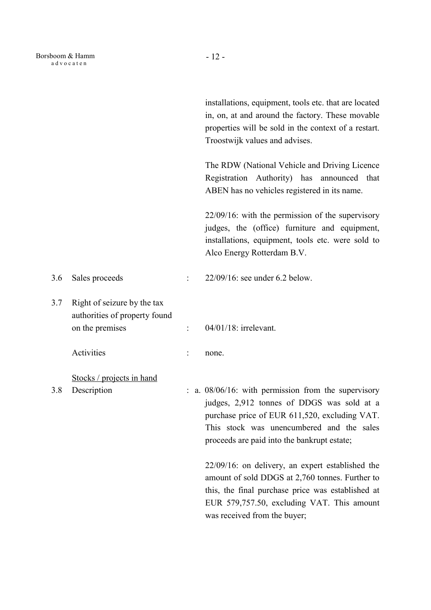|     |                                                                                 |                      | installations, equipment, tools etc. that are located<br>in, on, at and around the factory. These movable<br>properties will be sold in the context of a restart.<br>Troostwijk values and advises.                                            |
|-----|---------------------------------------------------------------------------------|----------------------|------------------------------------------------------------------------------------------------------------------------------------------------------------------------------------------------------------------------------------------------|
|     |                                                                                 |                      | The RDW (National Vehicle and Driving Licence<br>Registration Authority) has announced that<br>ABEN has no vehicles registered in its name.                                                                                                    |
|     |                                                                                 |                      | $22/09/16$ : with the permission of the supervisory<br>judges, the (office) furniture and equipment,<br>installations, equipment, tools etc. were sold to<br>Alco Energy Rotterdam B.V.                                                        |
| 3.6 | Sales proceeds                                                                  |                      | $22/09/16$ : see under 6.2 below.                                                                                                                                                                                                              |
| 3.7 | Right of seizure by the tax<br>authorities of property found<br>on the premises | $\ddot{\phantom{a}}$ | 04/01/18: irrelevant.                                                                                                                                                                                                                          |
|     | Activities                                                                      |                      | none.                                                                                                                                                                                                                                          |
| 3.8 | Stocks / projects in hand<br>Description                                        |                      | : a. 08/06/16: with permission from the supervisory<br>judges, 2,912 tonnes of DDGS was sold at a<br>purchase price of EUR 611,520, excluding VAT.<br>This stock was unencumbered and the sales<br>proceeds are paid into the bankrupt estate; |
|     |                                                                                 |                      | $22/09/16$ : on delivery, an expert established the<br>amount of sold DDGS at 2,760 tonnes. Further to<br>this, the final purchase price was established at<br>EUR 579,757.50, excluding VAT. This amount<br>was received from the buyer;      |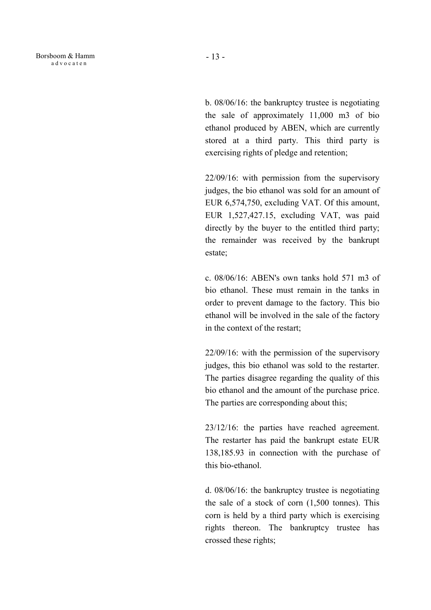Borsboom & Hamm a d v o c a t e n

b. 08/06/16: the bankruptcy trustee is negotiating the sale of approximately 11,000 m3 of bio ethanol produced by ABEN, which are currently stored at a third party. This third party is exercising rights of pledge and retention;

22/09/16: with permission from the supervisory judges, the bio ethanol was sold for an amount of EUR 6,574,750, excluding VAT. Of this amount, EUR 1,527,427.15, excluding VAT, was paid directly by the buyer to the entitled third party; the remainder was received by the bankrupt estate;

c. 08/06/16: ABEN's own tanks hold 571 m3 of bio ethanol. These must remain in the tanks in order to prevent damage to the factory. This bio ethanol will be involved in the sale of the factory in the context of the restart;

22/09/16: with the permission of the supervisory judges, this bio ethanol was sold to the restarter. The parties disagree regarding the quality of this bio ethanol and the amount of the purchase price. The parties are corresponding about this;

23/12/16: the parties have reached agreement. The restarter has paid the bankrupt estate EUR 138,185.93 in connection with the purchase of this bio-ethanol.

d. 08/06/16: the bankruptcy trustee is negotiating the sale of a stock of corn (1,500 tonnes). This corn is held by a third party which is exercising rights thereon. The bankruptcy trustee has crossed these rights;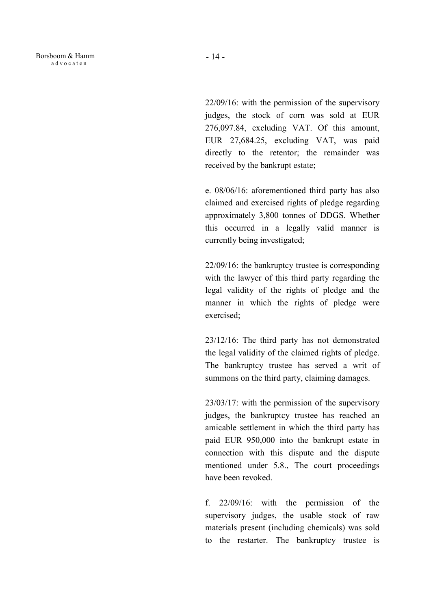22/09/16: with the permission of the supervisory judges, the stock of corn was sold at EUR 276,097.84, excluding VAT. Of this amount, EUR 27,684.25, excluding VAT, was paid directly to the retentor; the remainder was received by the bankrupt estate;

e. 08/06/16: aforementioned third party has also claimed and exercised rights of pledge regarding approximately 3,800 tonnes of DDGS. Whether this occurred in a legally valid manner is currently being investigated;

22/09/16: the bankruptcy trustee is corresponding with the lawyer of this third party regarding the legal validity of the rights of pledge and the manner in which the rights of pledge were exercised;

23/12/16: The third party has not demonstrated the legal validity of the claimed rights of pledge. The bankruptcy trustee has served a writ of summons on the third party, claiming damages.

23/03/17: with the permission of the supervisory judges, the bankruptcy trustee has reached an amicable settlement in which the third party has paid EUR 950,000 into the bankrupt estate in connection with this dispute and the dispute mentioned under 5.8., The court proceedings have been revoked.

f. 22/09/16: with the permission of the supervisory judges, the usable stock of raw materials present (including chemicals) was sold to the restarter. The bankruptcy trustee is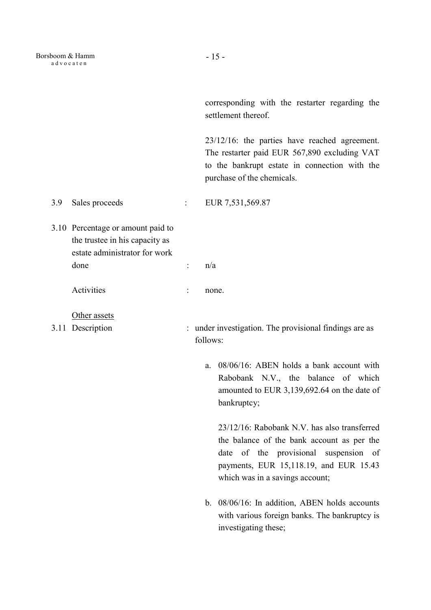corresponding with the restarter regarding the settlement thereof.

 23/12/16: the parties have reached agreement. The restarter paid EUR 567,890 excluding VAT to the bankrupt estate in connection with the purchase of the chemicals.

3.9 Sales proceeds : EUR 7,531,569.87

- 3.10 Percentage or amount paid to the trustee in his capacity as estate administrator for work done :  $n/a$ 
	- Activities : none.
	- Other assets
- 
- 3.11 Description : under investigation. The provisional findings are as follows:
	- a. 08/06/16: ABEN holds a bank account with Rabobank N.V., the balance of which amounted to EUR 3,139,692.64 on the date of bankruptcy;

23/12/16: Rabobank N.V. has also transferred the balance of the bank account as per the date of the provisional suspension of payments, EUR 15,118.19, and EUR 15.43 which was in a savings account;

b. 08/06/16: In addition, ABEN holds accounts with various foreign banks. The bankruptcy is investigating these;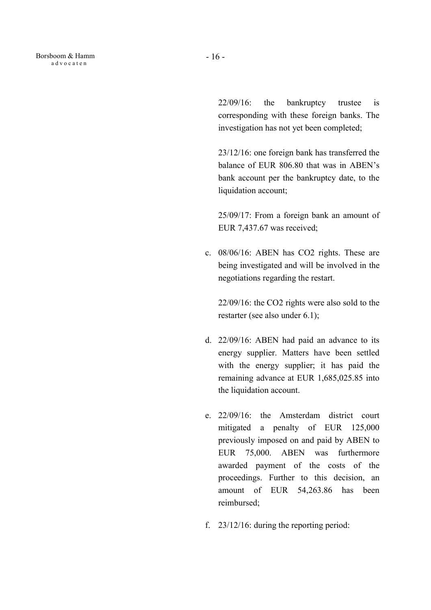22/09/16: the bankruptcy trustee is corresponding with these foreign banks. The investigation has not yet been completed;

23/12/16: one foreign bank has transferred the balance of EUR 806.80 that was in ABEN's bank account per the bankruptcy date, to the liquidation account;

25/09/17: From a foreign bank an amount of EUR 7,437.67 was received;

c. 08/06/16: ABEN has CO2 rights. These are being investigated and will be involved in the negotiations regarding the restart.

22/09/16: the CO2 rights were also sold to the restarter (see also under 6.1);

- d. 22/09/16: ABEN had paid an advance to its energy supplier. Matters have been settled with the energy supplier; it has paid the remaining advance at EUR 1,685,025.85 into the liquidation account.
- e. 22/09/16: the Amsterdam district court mitigated a penalty of EUR 125,000 previously imposed on and paid by ABEN to EUR 75,000. ABEN was furthermore awarded payment of the costs of the proceedings. Further to this decision, an amount of EUR 54,263.86 has been reimbursed;
- f. 23/12/16: during the reporting period: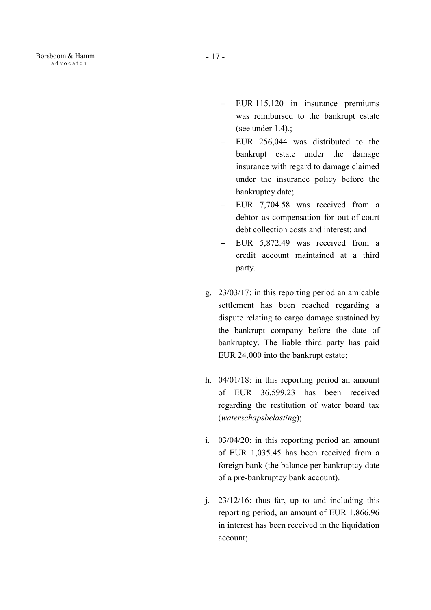- EUR 115,120 in insurance premiums was reimbursed to the bankrupt estate (see under 1.4).;
- EUR 256,044 was distributed to the bankrupt estate under the damage insurance with regard to damage claimed under the insurance policy before the bankruptcy date;
- EUR 7,704.58 was received from a debtor as compensation for out-of-court debt collection costs and interest; and
- EUR 5,872.49 was received from a credit account maintained at a third party.
- g. 23/03/17: in this reporting period an amicable settlement has been reached regarding a dispute relating to cargo damage sustained by the bankrupt company before the date of bankruptcy. The liable third party has paid EUR 24,000 into the bankrupt estate;
- h. 04/01/18: in this reporting period an amount of EUR 36,599.23 has been received regarding the restitution of water board tax (waterschapsbelasting);
- i. 03/04/20: in this reporting period an amount of EUR 1,035.45 has been received from a foreign bank (the balance per bankruptcy date of a pre-bankruptcy bank account).
- j. 23/12/16: thus far, up to and including this reporting period, an amount of EUR 1,866.96 in interest has been received in the liquidation account;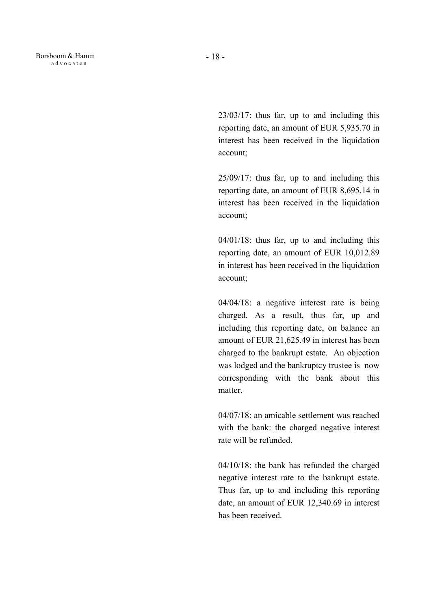23/03/17: thus far, up to and including this reporting date, an amount of EUR 5,935.70 in interest has been received in the liquidation account;

25/09/17: thus far, up to and including this reporting date, an amount of EUR 8,695.14 in interest has been received in the liquidation account;

04/01/18: thus far, up to and including this reporting date, an amount of EUR 10,012.89 in interest has been received in the liquidation account;

04/04/18: a negative interest rate is being charged. As a result, thus far, up and including this reporting date, on balance an amount of EUR 21,625.49 in interest has been charged to the bankrupt estate. An objection was lodged and the bankruptcy trustee is now corresponding with the bank about this matter.

04/07/18: an amicable settlement was reached with the bank: the charged negative interest rate will be refunded.

04/10/18: the bank has refunded the charged negative interest rate to the bankrupt estate. Thus far, up to and including this reporting date, an amount of EUR 12,340.69 in interest has been received.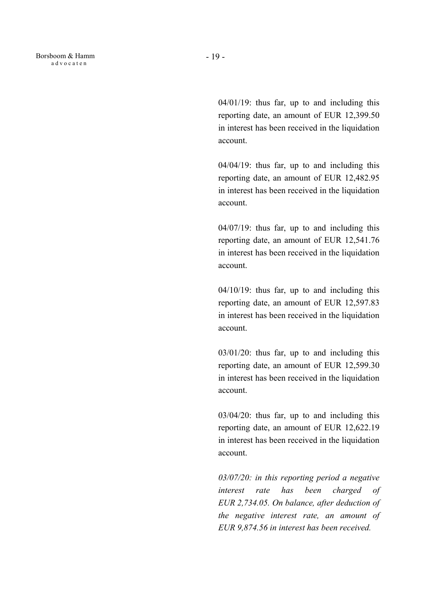- 19 -

04/01/19: thus far, up to and including this reporting date, an amount of EUR 12,399.50 in interest has been received in the liquidation account.

04/04/19: thus far, up to and including this reporting date, an amount of EUR 12,482.95 in interest has been received in the liquidation account.

04/07/19: thus far, up to and including this reporting date, an amount of EUR 12,541.76 in interest has been received in the liquidation account.

04/10/19: thus far, up to and including this reporting date, an amount of EUR 12,597.83 in interest has been received in the liquidation account.

03/01/20: thus far, up to and including this reporting date, an amount of EUR 12,599.30 in interest has been received in the liquidation account.

03/04/20: thus far, up to and including this reporting date, an amount of EUR 12,622.19 in interest has been received in the liquidation account.

03/07/20: in this reporting period a negative interest rate has been charged of EUR 2,734.05. On balance, after deduction of the negative interest rate, an amount of EUR 9,874.56 in interest has been received.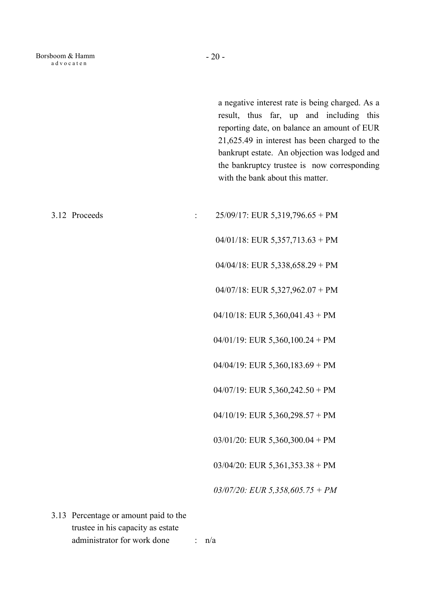a negative interest rate is being charged. As a result, thus far, up and including this reporting date, on balance an amount of EUR 21,625.49 in interest has been charged to the bankrupt estate. An objection was lodged and the bankruptcy trustee is now corresponding with the bank about this matter.

| 3.12 Proceeds                                                                                             |               | $25/09/17$ : EUR 5,319,796.65 + PM |
|-----------------------------------------------------------------------------------------------------------|---------------|------------------------------------|
|                                                                                                           |               | $04/01/18$ : EUR 5,357,713.63 + PM |
|                                                                                                           |               | $04/04/18$ : EUR 5,338,658.29 + PM |
|                                                                                                           |               | $04/07/18$ : EUR 5,327,962.07 + PM |
|                                                                                                           |               | $04/10/18$ : EUR 5,360,041.43 + PM |
|                                                                                                           |               | $04/01/19$ : EUR 5,360,100.24 + PM |
|                                                                                                           |               | $04/04/19$ : EUR 5,360,183.69 + PM |
|                                                                                                           |               | 04/07/19: EUR $5,360,242.50 + PM$  |
|                                                                                                           |               | $04/10/19$ : EUR 5,360,298.57 + PM |
|                                                                                                           |               | $03/01/20$ : EUR 5,360,300.04 + PM |
|                                                                                                           |               | $03/04/20$ : EUR 5,361,353.38 + PM |
|                                                                                                           |               | $03/07/20$ : EUR 5,358,605.75 + PM |
| 3.13 Percentage or amount paid to the<br>trustee in his capacity as estate<br>administrator for work done | $\mathcal{L}$ | n/a                                |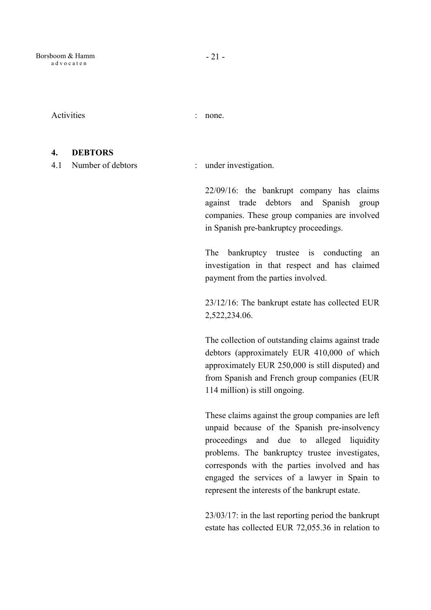Activities : none.

#### 4. DEBTORS

4.1 Number of debtors : under investigation.

22/09/16: the bankrupt company has claims against trade debtors and Spanish group companies. These group companies are involved in Spanish pre-bankruptcy proceedings.

The bankruptcy trustee is conducting an investigation in that respect and has claimed payment from the parties involved.

23/12/16: The bankrupt estate has collected EUR 2,522,234.06.

The collection of outstanding claims against trade debtors (approximately EUR 410,000 of which approximately EUR 250,000 is still disputed) and from Spanish and French group companies (EUR 114 million) is still ongoing.

These claims against the group companies are left unpaid because of the Spanish pre-insolvency proceedings and due to alleged liquidity problems. The bankruptcy trustee investigates, corresponds with the parties involved and has engaged the services of a lawyer in Spain to represent the interests of the bankrupt estate.

23/03/17: in the last reporting period the bankrupt estate has collected EUR 72,055.36 in relation to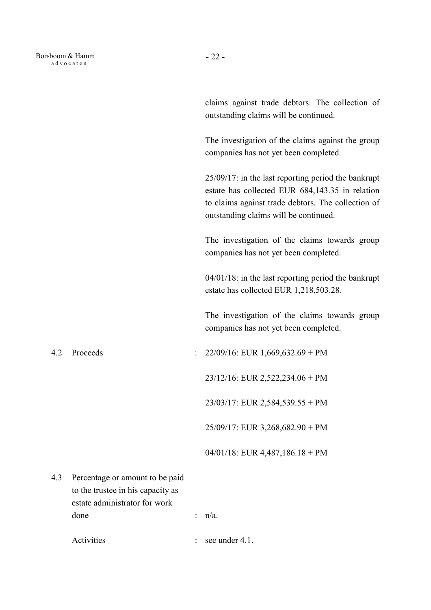claims against trade debtors. The collection of outstanding claims will be continued.

The investigation of the claims against the group companies has not yet been completed.

25/09/17: in the last reporting period the bankrupt estate has collected EUR 684,143.35 in relation to claims against trade debtors. The collection of outstanding claims will be continued.

The investigation of the claims towards group companies has not yet been completed.

04/01/18: in the last reporting period the bankrupt estate has collected EUR 1,218,503.28.

The investigation of the claims towards group companies has not yet been completed.

4.2 Proceeds : 22/09/16: EUR 1,669,632.69 + PM

23/12/16: EUR 2,522,234.06 + PM

23/03/17: EUR 2,584,539.55 + PM

25/09/17: EUR 3,268,682.90 + PM

04/01/18: EUR 4,487,186.18 + PM

- 4.3 Percentage or amount to be paid to the trustee in his capacity as estate administrator for work done : n/a.
	- Activities : see under 4.1.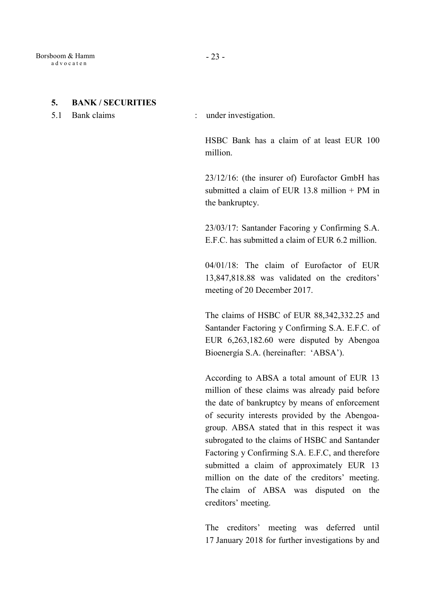#### 5. BANK / SECURITIES

5.1 Bank claims : under investigation.

HSBC Bank has a claim of at least EUR 100 million.

23/12/16: (the insurer of) Eurofactor GmbH has submitted a claim of EUR 13.8 million + PM in the bankruptcy.

23/03/17: Santander Facoring y Confirming S.A. E.F.C. has submitted a claim of EUR 6.2 million.

04/01/18: The claim of Eurofactor of EUR 13,847,818.88 was validated on the creditors' meeting of 20 December 2017.

The claims of HSBC of EUR 88,342,332.25 and Santander Factoring y Confirming S.A. E.F.C. of EUR 6,263,182.60 were disputed by Abengoa Bioenergía S.A. (hereinafter: 'ABSA').

According to ABSA a total amount of EUR 13 million of these claims was already paid before the date of bankruptcy by means of enforcement of security interests provided by the Abengoagroup. ABSA stated that in this respect it was subrogated to the claims of HSBC and Santander Factoring y Confirming S.A. E.F.C, and therefore submitted a claim of approximately EUR 13 million on the date of the creditors' meeting. The claim of ABSA was disputed on the creditors' meeting.

The creditors' meeting was deferred until 17 January 2018 for further investigations by and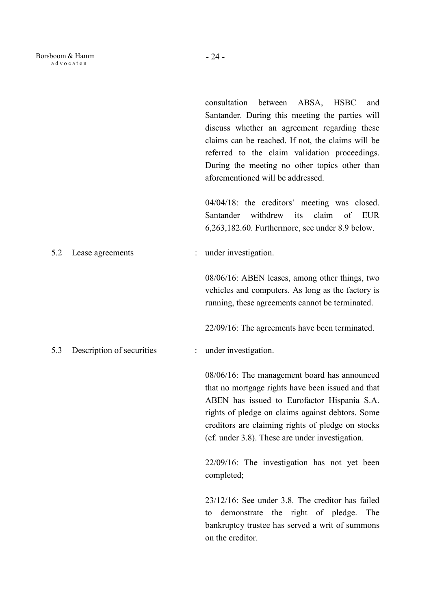consultation between ABSA, HSBC and Santander. During this meeting the parties will discuss whether an agreement regarding these claims can be reached. If not, the claims will be referred to the claim validation proceedings. During the meeting no other topics other than aforementioned will be addressed. 04/04/18: the creditors' meeting was closed. Santander withdrew its claim of EUR 6,263,182.60. Furthermore, see under 8.9 below. 5.2 Lease agreements : under investigation. 08/06/16: ABEN leases, among other things, two vehicles and computers. As long as the factory is running, these agreements cannot be terminated. 22/09/16: The agreements have been terminated. 5.3 Description of securities : under investigation. 08/06/16: The management board has announced that no mortgage rights have been issued and that ABEN has issued to Eurofactor Hispania S.A. rights of pledge on claims against debtors. Some creditors are claiming rights of pledge on stocks (cf. under 3.8). These are under investigation. 22/09/16: The investigation has not yet been completed; 23/12/16: See under 3.8. The creditor has failed to demonstrate the right of pledge. The bankruptcy trustee has served a writ of summons

on the creditor.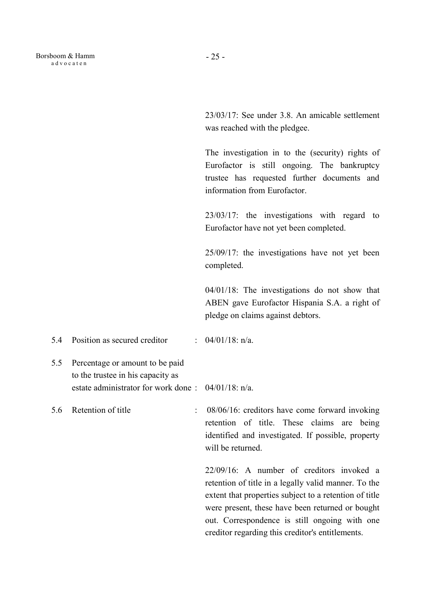23/03/17: See under 3.8. An amicable settlement was reached with the pledgee.

The investigation in to the (security) rights of Eurofactor is still ongoing. The bankruptcy trustee has requested further documents and information from Eurofactor.

23/03/17: the investigations with regard to Eurofactor have not yet been completed.

25/09/17: the investigations have not yet been completed.

04/01/18: The investigations do not show that ABEN gave Eurofactor Hispania S.A. a right of pledge on claims against debtors.

5.4 Position as secured creditor : 04/01/18: n/a.

5.5 Percentage or amount to be paid to the trustee in his capacity as estate administrator for work done : 04/01/18: n/a.

5.6 Retention of title : 08/06/16: creditors have come forward invoking retention of title. These claims are being identified and investigated. If possible, property will be returned.

> 22/09/16: A number of creditors invoked a retention of title in a legally valid manner. To the extent that properties subject to a retention of title were present, these have been returned or bought out. Correspondence is still ongoing with one creditor regarding this creditor's entitlements.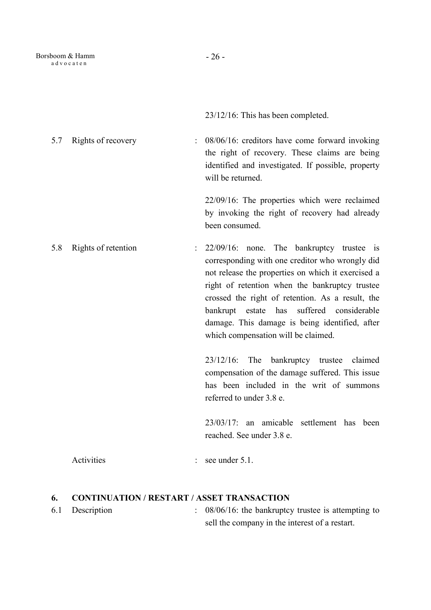23/12/16: This has been completed.

5.7 Rights of recovery : 08/06/16: creditors have come forward invoking the right of recovery. These claims are being identified and investigated. If possible, property will be returned.

> 22/09/16: The properties which were reclaimed by invoking the right of recovery had already been consumed.

5.8 Rights of retention : 22/09/16: none. The bankruptcy trustee is corresponding with one creditor who wrongly did not release the properties on which it exercised a right of retention when the bankruptcy trustee crossed the right of retention. As a result, the bankrupt estate has suffered considerable damage. This damage is being identified, after which compensation will be claimed.

> 23/12/16: The bankruptcy trustee claimed compensation of the damage suffered. This issue has been included in the writ of summons referred to under 3.8 e.

> 23/03/17: an amicable settlement has been reached. See under 3.8 e.

Activities : see under 5.1.

## 6. CONTINUATION / RESTART / ASSET TRANSACTION

- 
- 6.1 Description : 08/06/16: the bankruptcy trustee is attempting to sell the company in the interest of a restart.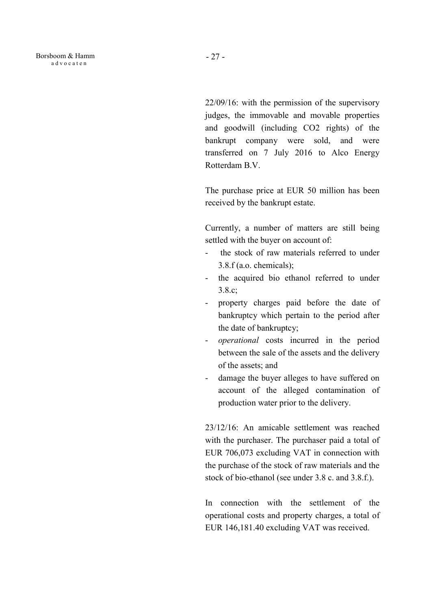22/09/16: with the permission of the supervisory judges, the immovable and movable properties and goodwill (including CO2 rights) of the bankrupt company were sold, and were transferred on 7 July 2016 to Alco Energy Rotterdam B.V.

The purchase price at EUR 50 million has been received by the bankrupt estate.

Currently, a number of matters are still being settled with the buyer on account of:

- the stock of raw materials referred to under 3.8.f (a.o. chemicals);
- the acquired bio ethanol referred to under 3.8.c;
- property charges paid before the date of bankruptcy which pertain to the period after the date of bankruptcy;
- operational costs incurred in the period between the sale of the assets and the delivery of the assets; and
- damage the buyer alleges to have suffered on account of the alleged contamination of production water prior to the delivery.

23/12/16: An amicable settlement was reached with the purchaser. The purchaser paid a total of EUR 706,073 excluding VAT in connection with the purchase of the stock of raw materials and the stock of bio-ethanol (see under 3.8 c. and 3.8.f.).

In connection with the settlement of the operational costs and property charges, a total of EUR 146,181.40 excluding VAT was received.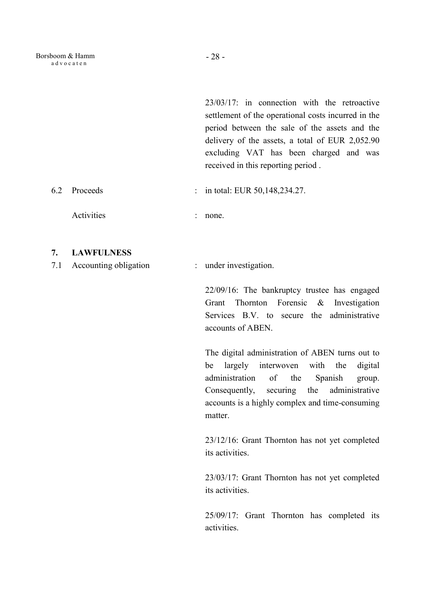23/03/17: in connection with the retroactive settlement of the operational costs incurred in the period between the sale of the assets and the delivery of the assets, a total of EUR 2,052.90 excluding VAT has been charged and was received in this reporting period .

- 6.2 Proceeds : in total: EUR 50,148,234.27.
	- Activities : none.
- 7. LAWFULNESS
- 7.1 Accounting obligation : under investigation.

22/09/16: The bankruptcy trustee has engaged Grant Thornton Forensic & Investigation Services B.V. to secure the administrative accounts of ABEN.

The digital administration of ABEN turns out to be largely interwoven with the digital administration of the Spanish group. Consequently, securing the administrative accounts is a highly complex and time-consuming matter.

23/12/16: Grant Thornton has not yet completed its activities.

23/03/17: Grant Thornton has not yet completed its activities.

25/09/17: Grant Thornton has completed its activities.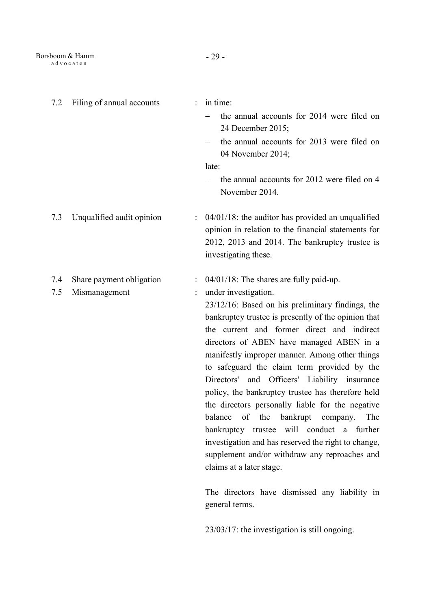| 7.2        | Filing of annual accounts                 | $\ddot{\cdot}$ | in time:<br>the annual accounts for 2014 were filed on<br>24 December 2015;<br>the annual accounts for 2013 were filed on<br>04 November 2014;<br>late:<br>the annual accounts for 2012 were filed on 4<br>November 2014.                                                                                                                                                                                                                                                                                                                                                                                                                                                                                                                                                                                                                                                   |
|------------|-------------------------------------------|----------------|-----------------------------------------------------------------------------------------------------------------------------------------------------------------------------------------------------------------------------------------------------------------------------------------------------------------------------------------------------------------------------------------------------------------------------------------------------------------------------------------------------------------------------------------------------------------------------------------------------------------------------------------------------------------------------------------------------------------------------------------------------------------------------------------------------------------------------------------------------------------------------|
| 7.3        | Unqualified audit opinion                 |                | $04/01/18$ : the auditor has provided an unqualified<br>opinion in relation to the financial statements for<br>2012, 2013 and 2014. The bankruptcy trustee is<br>investigating these.                                                                                                                                                                                                                                                                                                                                                                                                                                                                                                                                                                                                                                                                                       |
| 7.4<br>7.5 | Share payment obligation<br>Mismanagement |                | 04/01/18: The shares are fully paid-up.<br>under investigation.<br>23/12/16: Based on his preliminary findings, the<br>bankruptcy trustee is presently of the opinion that<br>the current and former direct and indirect<br>directors of ABEN have managed ABEN in a<br>manifestly improper manner. Among other things<br>to safeguard the claim term provided by the<br>Directors' and Officers' Liability insurance<br>policy, the bankruptcy trustee has therefore held<br>the directors personally liable for the negative<br>balance of the bankrupt company. The<br>bankruptcy trustee will conduct a further<br>investigation and has reserved the right to change,<br>supplement and/or withdraw any reproaches and<br>claims at a later stage.<br>The directors have dismissed any liability in<br>general terms.<br>23/03/17: the investigation is still ongoing. |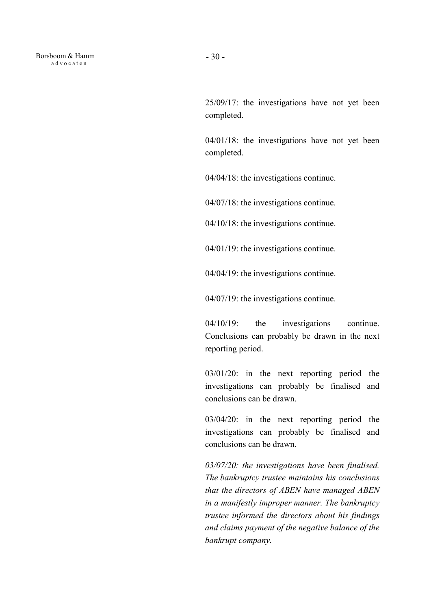25/09/17: the investigations have not yet been completed.

04/01/18: the investigations have not yet been completed.

04/04/18: the investigations continue.

04/07/18: the investigations continue.

04/10/18: the investigations continue.

04/01/19: the investigations continue.

04/04/19: the investigations continue.

04/07/19: the investigations continue.

 04/10/19: the investigations continue. Conclusions can probably be drawn in the next reporting period.

03/01/20: in the next reporting period the investigations can probably be finalised and conclusions can be drawn.

03/04/20: in the next reporting period the investigations can probably be finalised and conclusions can be drawn.

03/07/20: the investigations have been finalised. The bankruptcy trustee maintains his conclusions that the directors of ABEN have managed ABEN in a manifestly improper manner. The bankruptcy trustee informed the directors about his findings and claims payment of the negative balance of the bankrupt company.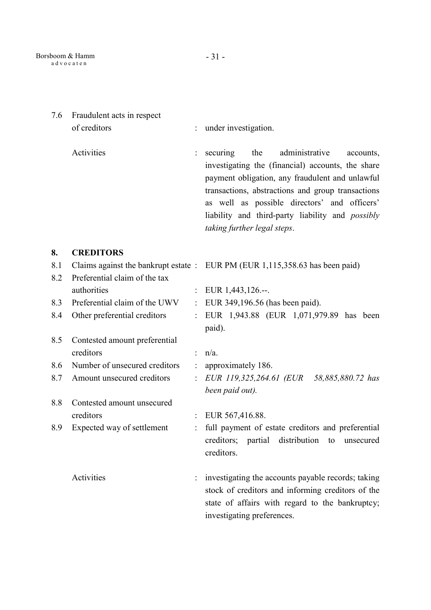7.6 Fraudulent acts in respect of creditors : under investigation. Activities : securing the administrative accounts, investigating the (financial) accounts, the share payment obligation, any fraudulent and unlawful transactions, abstractions and group transactions as well as possible directors' and officers' liability and third-party liability and possibly taking further legal steps. 8. CREDITORS 8.1 Claims against the bankrupt estate : EUR PM (EUR 1,115,358.63 has been paid) 8.2 Preferential claim of the tax authorities : EUR 1,443,126.--. 8.3 Preferential claim of the UWV : EUR 349,196.56 (has been paid). 8.4 Other preferential creditors : EUR 1,943.88 (EUR 1,071,979.89 has been paid). 8.5 Contested amount preferential creditors : n/a. 8.6 Number of unsecured creditors : approximately 186. 8.7 Amount unsecured creditors : EUR 119,325,264.61 (EUR 58,885,880.72 has been paid out). 8.8 Contested amount unsecured creditors : EUR 567,416.88. 8.9 Expected way of settlement : full payment of estate creditors and preferential creditors; partial distribution to unsecured creditors. Activities : investigating the accounts payable records; taking stock of creditors and informing creditors of the state of affairs with regard to the bankruptcy;

investigating preferences.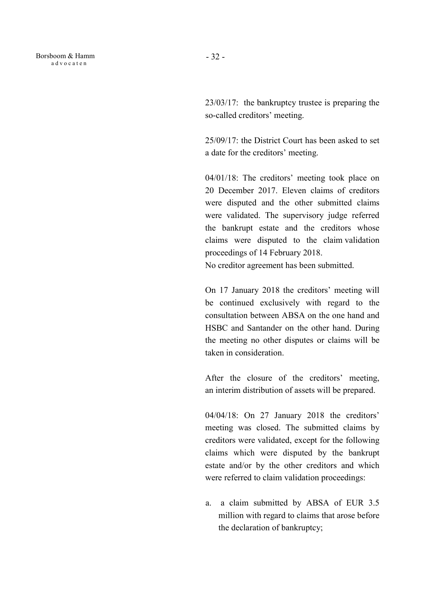23/03/17: the bankruptcy trustee is preparing the so-called creditors' meeting.

 25/09/17: the District Court has been asked to set a date for the creditors' meeting.

 04/01/18: The creditors' meeting took place on 20 December 2017. Eleven claims of creditors were disputed and the other submitted claims were validated. The supervisory judge referred the bankrupt estate and the creditors whose claims were disputed to the claim validation proceedings of 14 February 2018.

No creditor agreement has been submitted.

 On 17 January 2018 the creditors' meeting will be continued exclusively with regard to the consultation between ABSA on the one hand and HSBC and Santander on the other hand. During the meeting no other disputes or claims will be taken in consideration.

 After the closure of the creditors' meeting, an interim distribution of assets will be prepared.

 04/04/18: On 27 January 2018 the creditors' meeting was closed. The submitted claims by creditors were validated, except for the following claims which were disputed by the bankrupt estate and/or by the other creditors and which were referred to claim validation proceedings:

a. a claim submitted by ABSA of EUR 3.5 million with regard to claims that arose before the declaration of bankruptcy;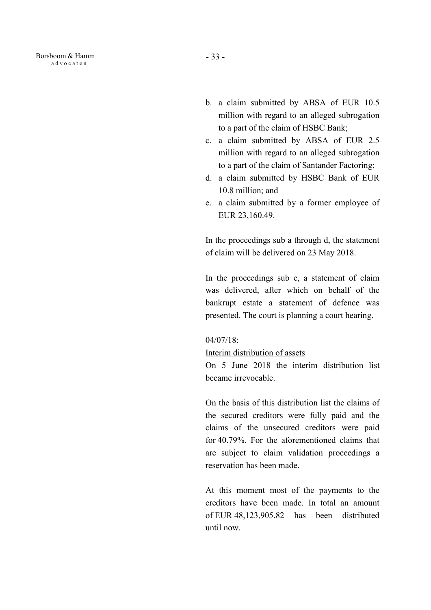- b. a claim submitted by ABSA of EUR 10.5 million with regard to an alleged subrogation to a part of the claim of HSBC Bank;
- c. a claim submitted by ABSA of EUR 2.5 million with regard to an alleged subrogation to a part of the claim of Santander Factoring;
- d. a claim submitted by HSBC Bank of EUR 10.8 million; and
- e. a claim submitted by a former employee of EUR 23,160.49.

In the proceedings sub a through d, the statement of claim will be delivered on 23 May 2018.

In the proceedings sub e, a statement of claim was delivered, after which on behalf of the bankrupt estate a statement of defence was presented. The court is planning a court hearing.

#### 04/07/18:

### Interim distribution of assets

On 5 June 2018 the interim distribution list became irrevocable.

On the basis of this distribution list the claims of the secured creditors were fully paid and the claims of the unsecured creditors were paid for 40.79%. For the aforementioned claims that are subject to claim validation proceedings a reservation has been made.

At this moment most of the payments to the creditors have been made. In total an amount of EUR 48,123,905.82 has been distributed until now.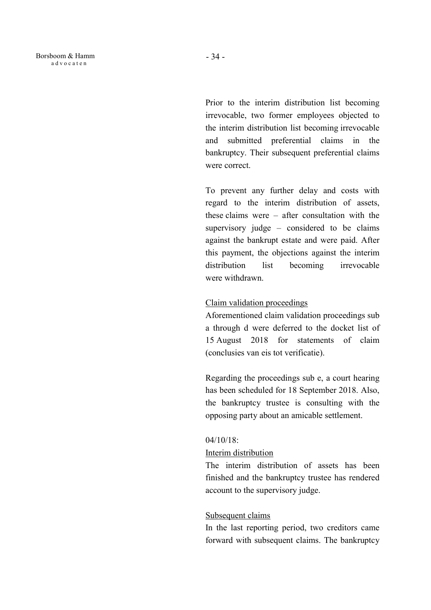Prior to the interim distribution list becoming irrevocable, two former employees objected to the interim distribution list becoming irrevocable and submitted preferential claims in the bankruptcy. Their subsequent preferential claims were correct.

To prevent any further delay and costs with regard to the interim distribution of assets, these claims were – after consultation with the supervisory judge – considered to be claims against the bankrupt estate and were paid. After this payment, the objections against the interim distribution list becoming irrevocable were withdrawn.

## Claim validation proceedings

Aforementioned claim validation proceedings sub a through d were deferred to the docket list of 15 August 2018 for statements of claim (conclusies van eis tot verificatie).

Regarding the proceedings sub e, a court hearing has been scheduled for 18 September 2018. Also, the bankruptcy trustee is consulting with the opposing party about an amicable settlement.

## 04/10/18:

## Interim distribution

The interim distribution of assets has been finished and the bankruptcy trustee has rendered account to the supervisory judge.

# Subsequent claims

In the last reporting period, two creditors came forward with subsequent claims. The bankruptcy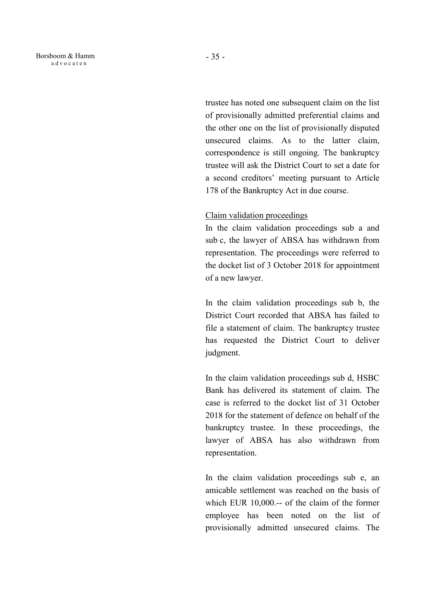trustee has noted one subsequent claim on the list of provisionally admitted preferential claims and the other one on the list of provisionally disputed unsecured claims. As to the latter claim, correspondence is still ongoing. The bankruptcy trustee will ask the District Court to set a date for a second creditors' meeting pursuant to Article 178 of the Bankruptcy Act in due course.

#### Claim validation proceedings

In the claim validation proceedings sub a and sub c, the lawyer of ABSA has withdrawn from representation. The proceedings were referred to the docket list of 3 October 2018 for appointment of a new lawyer.

In the claim validation proceedings sub b, the District Court recorded that ABSA has failed to file a statement of claim. The bankruptcy trustee has requested the District Court to deliver judgment.

In the claim validation proceedings sub d, HSBC Bank has delivered its statement of claim. The case is referred to the docket list of 31 October 2018 for the statement of defence on behalf of the bankruptcy trustee. In these proceedings, the lawyer of ABSA has also withdrawn from representation.

In the claim validation proceedings sub e, an amicable settlement was reached on the basis of which EUR 10,000.-- of the claim of the former employee has been noted on the list of provisionally admitted unsecured claims. The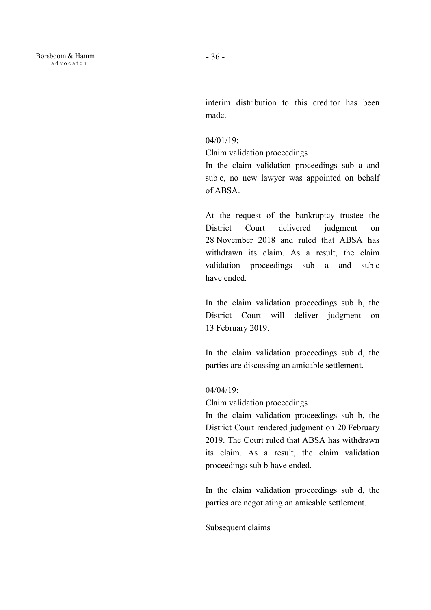interim distribution to this creditor has been made.

### 04/01/19:

#### Claim validation proceedings

In the claim validation proceedings sub a and sub c, no new lawyer was appointed on behalf of ABSA.

At the request of the bankruptcy trustee the District Court delivered judgment on 28 November 2018 and ruled that ABSA has withdrawn its claim. As a result, the claim validation proceedings sub a and sub c have ended.

In the claim validation proceedings sub b, the District Court will deliver judgment on 13 February 2019.

In the claim validation proceedings sub d, the parties are discussing an amicable settlement.

### 04/04/19:

### Claim validation proceedings

In the claim validation proceedings sub b, the District Court rendered judgment on 20 February 2019. The Court ruled that ABSA has withdrawn its claim. As a result, the claim validation proceedings sub b have ended.

In the claim validation proceedings sub d, the parties are negotiating an amicable settlement.

## Subsequent claims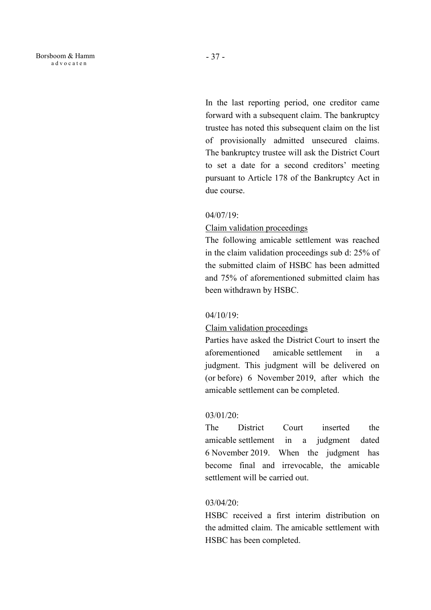In the last reporting period, one creditor came forward with a subsequent claim. The bankruptcy trustee has noted this subsequent claim on the list of provisionally admitted unsecured claims. The bankruptcy trustee will ask the District Court to set a date for a second creditors' meeting pursuant to Article 178 of the Bankruptcy Act in due course.

#### 04/07/19:

### Claim validation proceedings

The following amicable settlement was reached in the claim validation proceedings sub d: 25% of the submitted claim of HSBC has been admitted and 75% of aforementioned submitted claim has been withdrawn by HSBC.

### 04/10/19:

#### Claim validation proceedings

Parties have asked the District Court to insert the aforementioned amicable settlement in a judgment. This judgment will be delivered on (or before) 6 November 2019, after which the amicable settlement can be completed.

#### 03/01/20:

The District Court inserted the amicable settlement in a judgment dated 6 November 2019. When the judgment has become final and irrevocable, the amicable settlement will be carried out.

### 03/04/20:

HSBC received a first interim distribution on the admitted claim. The amicable settlement with HSBC has been completed.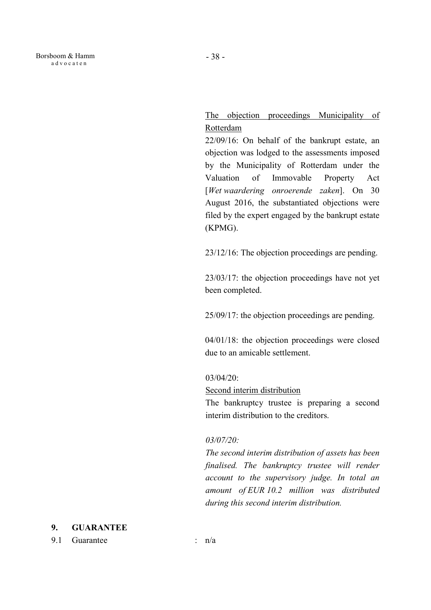# The objection proceedings Municipality of **Rotterdam**

 22/09/16: On behalf of the bankrupt estate, an objection was lodged to the assessments imposed by the Municipality of Rotterdam under the Valuation of Immovable Property Act [Wet waardering onroerende zaken]. On 30 August 2016, the substantiated objections were filed by the expert engaged by the bankrupt estate (KPMG).

23/12/16: The objection proceedings are pending.

 23/03/17: the objection proceedings have not yet been completed.

25/09/17: the objection proceedings are pending.

04/01/18: the objection proceedings were closed due to an amicable settlement.

### 03/04/20:

Second interim distribution

The bankruptcy trustee is preparing a second interim distribution to the creditors.

## 03/07/20:

The second interim distribution of assets has been finalised. The bankruptcy trustee will render account to the supervisory judge. In total an amount of EUR 10.2 million was distributed during this second interim distribution.

## 9. GUARANTEE

9.1 Guarantee : n/a